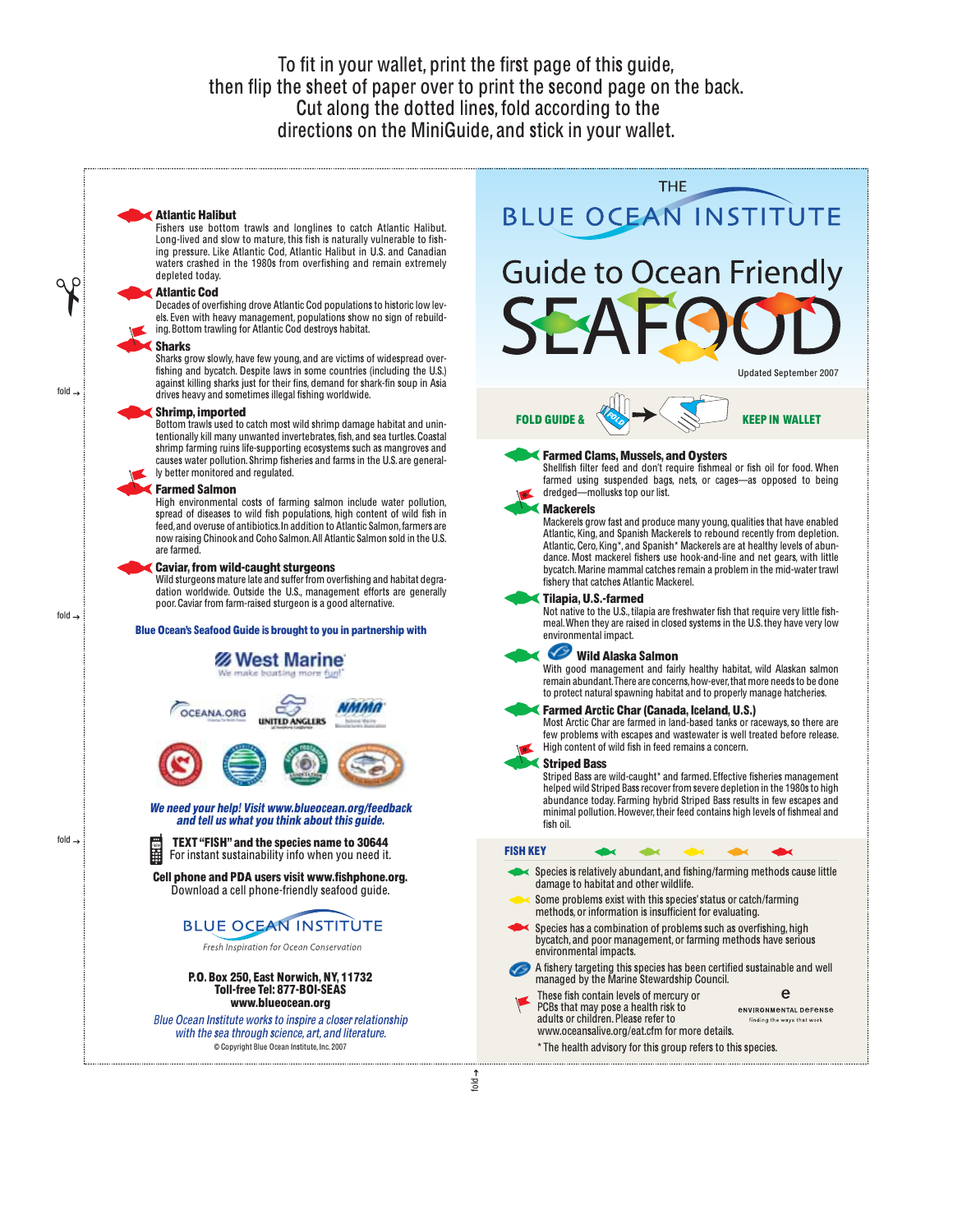To fit in your wallet, print the first page of this guide, then flip the sheet of paper over to print the second page on the back. Cut along the dotted lines, fold according to the directions on the MiniGuide, and stick in your wallet.

### Atlantic Halibut

Fishers use bottom trawls and longlines to catch Atlantic Halibut. Long-lived and slow to mature, this fish is naturally vulnerable to fish-ing pressure. Like Atlantic Cod, Atlantic Halibut in U.S. and Canadian waters crashed in the 1980s from overfishing and remain extremely depleted today.

## Atlantic Cod

Decades of overfishing drove Atlantic Cod populations to historic low levels. Even with heavy management, populations show no sign of rebuilding. Bottom trawling for Atlantic Cod destroys habitat.

#### Sharks

Sharks grow slowly, have few young, and are victims of widespread overfishing and bycatch. Despite laws in some countries (including the U.S.) against killing sharks just for their fins, demand for shark-fin soup in Asia drives heavy and sometimes illegal fishing worldwide.

# Shrimp, imported

Bottom trawls used to catch most wild shrimp damage habitat and unintentionally kill many unwanted invertebrates, fish, and sea turtles. Coastal shrimp farming ruins life-supporting ecosystems such as mangroves and causes water pollution. Shrimp fisheries and farms in the U.S. are generally better monitored and regulated.

#### Farmed Salmon

High environmental costs of farming salmon include water pollution, spread of diseases to wild fish populations, high content of wild fish in feed,and overuse of antibiotics.In addition to Atlantic Salmon,farmers are now raising Chinook and Coho Salmon.All Atlantic Salmon sold in the U.S. are farmed.

## **Caviar, from wild-caught sturgeons**

Wild sturgeons mature late and suffer from overfishing and habitat degradation worldwide. Outside the U.S., management efforts are generally poor.Caviar from farm-raised sturgeon is a good alternative.

## Blue Ocean's Seafood Guide is brought to you in partnership with



www.blueocean.org Blu<sup>e</sup> Ocea<sup>n</sup> Institut<sup>e</sup> work<sup>s</sup> t<sup>o</sup> inspir<sup>e</sup> <sup>a</sup> <sup>c</sup>lose<sup>r</sup> <sup>r</sup>elationship <sup>w</sup>ith th<sup>e</sup> <sup>s</sup>e<sup>a</sup> through <sup>s</sup>cience, <sup>a</sup>rt, <sup>a</sup>nd literature.

© Copyright Blue Ocean Institute, Inc. 2007



fold

✃

fold